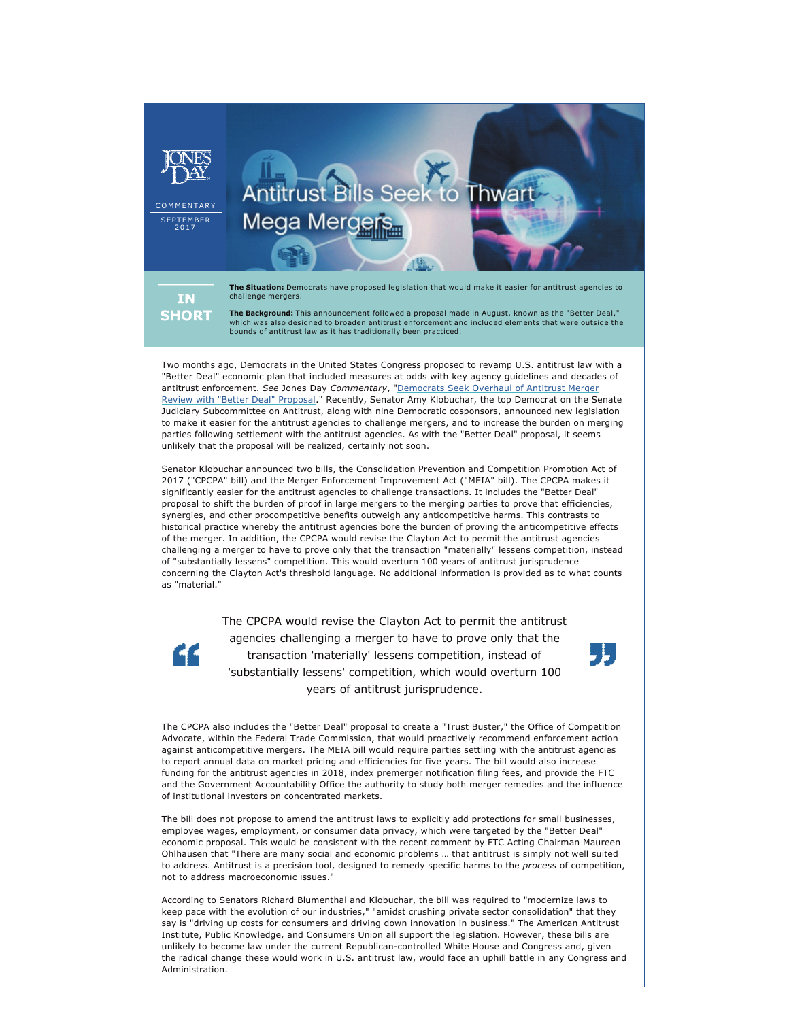

**The Background:** This announcement followed a proposal made in August, known as the "Better Deal," which was also designed to broaden antitrust enforcement and included elements that were outside the bounds of antitrust law as it has traditionally been practiced.

Two months ago, Democrats in the United States Congress proposed to revamp U.S. antitrust law with a "Better Deal" economic plan that included measures at odds with key agency guidelines and decades of antitrust enforcement. *See* Jones Day *Commentary*, ["Democrats Seek Overhaul of Antitrust Merger](http://jonesday.com/better-deal-legislative-proposal-would-overhaul-us-antitrust-merger-review-08-31-2017/)  [Review with "Better Deal" Proposal](http://jonesday.com/better-deal-legislative-proposal-would-overhaul-us-antitrust-merger-review-08-31-2017/)." Recently, Senator Amy Klobuchar, the top Democrat on the Senate Judiciary Subcommittee on Antitrust, along with nine Democratic cosponsors, announced new legislation to make it easier for the antitrust agencies to challenge mergers, and to increase the burden on merging parties following settlement with the antitrust agencies. As with the "Better Deal" proposal, it seems unlikely that the proposal will be realized, certainly not soon.

Senator Klobuchar announced two bills, the Consolidation Prevention and Competition Promotion Act of 2017 ("CPCPA" bill) and the Merger Enforcement Improvement Act ("MEIA" bill). The CPCPA makes it significantly easier for the antitrust agencies to challenge transactions. It includes the "Better Deal" proposal to shift the burden of proof in large mergers to the merging parties to prove that efficiencies, synergies, and other procompetitive benefits outweigh any anticompetitive harms. This contrasts to historical practice whereby the antitrust agencies bore the burden of proving the anticompetitive effects of the merger. In addition, the CPCPA would revise the Clayton Act to permit the antitrust agencies challenging a merger to have to prove only that the transaction "materially" lessens competition, instead of "substantially lessens" competition. This would overturn 100 years of antitrust jurisprudence concerning the Clayton Act's threshold language. No additional information is provided as to what counts as "material."

> The CPCPA would revise the Clayton Act to permit the antitrust agencies challenging a merger to have to prove only that the transaction 'materially' lessens competition, instead of 'substantially lessens' competition, which would overturn 100 years of antitrust jurisprudence.

"



The CPCPA also includes the "Better Deal" proposal to create a "Trust Buster," the Office of Competition Advocate, within the Federal Trade Commission, that would proactively recommend enforcement action against anticompetitive mergers. The MEIA bill would require parties settling with the antitrust agencies to report annual data on market pricing and efficiencies for five years. The bill would also increase funding for the antitrust agencies in 2018, index premerger notification filing fees, and provide the FTC and the Government Accountability Office the authority to study both merger remedies and the influence of institutional investors on concentrated markets.

The bill does not propose to amend the antitrust laws to explicitly add protections for small businesses, employee wages, employment, or consumer data privacy, which were targeted by the "Better Deal" economic proposal. This would be consistent with the recent comment by FTC Acting Chairman Maureen Ohlhausen that "There are many social and economic problems … that antitrust is simply not well suited to address. Antitrust is a precision tool, designed to remedy specific harms to the *process* of competition, not to address macroeconomic issues."

According to Senators Richard Blumenthal and Klobuchar, the bill was required to "modernize laws to keep pace with the evolution of our industries," "amidst crushing private sector consolidation" that they say is "driving up costs for consumers and driving down innovation in business." The American Antitrust Institute, Public Knowledge, and Consumers Union all support the legislation. However, these bills are unlikely to become law under the current Republican-controlled White House and Congress and, given the radical change these would work in U.S. antitrust law, would face an uphill battle in any Congress and Administration.